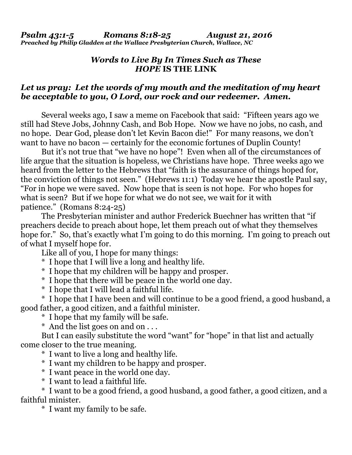## *Words to Live By In Times Such as These HOPE* **IS THE LINK**

## *Let us pray: Let the words of my mouth and the meditation of my heart be acceptable to you, O Lord, our rock and our redeemer. Amen.*

Several weeks ago, I saw a meme on Facebook that said: "Fifteen years ago we still had Steve Jobs, Johnny Cash, and Bob Hope. Now we have no jobs, no cash, and no hope. Dear God, please don't let Kevin Bacon die!" For many reasons, we don't want to have no bacon — certainly for the economic fortunes of Duplin County!

 But it's not true that "we have no hope"! Even when all of the circumstances of life argue that the situation is hopeless, we Christians have hope. Three weeks ago we heard from the letter to the Hebrews that "faith is the assurance of things hoped for, the conviction of things not seen." (Hebrews 11:1) Today we hear the apostle Paul say, "For in hope we were saved. Now hope that is seen is not hope. For who hopes for what is seen? But if we hope for what we do not see, we wait for it with patience." (Romans 8:24-25)

 The Presbyterian minister and author Frederick Buechner has written that "if preachers decide to preach about hope, let them preach out of what they themselves hope for." So, that's exactly what I'm going to do this morning. I'm going to preach out of what I myself hope for.

Like all of you, I hope for many things:

- \* I hope that I will live a long and healthy life.
- \* I hope that my children will be happy and prosper.
- \* I hope that there will be peace in the world one day.
- \* I hope that I will lead a faithful life.

 \* I hope that I have been and will continue to be a good friend, a good husband, a good father, a good citizen, and a faithful minister.

\* I hope that my family will be safe.

\* And the list goes on and on . . .

 But I can easily substitute the word "want" for "hope" in that list and actually come closer to the true meaning.

- \* I want to live a long and healthy life.
- \* I want my children to be happy and prosper.
- \* I want peace in the world one day.
- \* I want to lead a faithful life.

 \* I want to be a good friend, a good husband, a good father, a good citizen, and a faithful minister.

\* I want my family to be safe.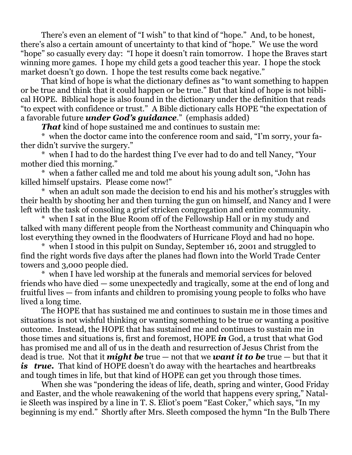There's even an element of "I wish" to that kind of "hope." And, to be honest, there's also a certain amount of uncertainty to that kind of "hope." We use the word "hope" so casually every day: "I hope it doesn't rain tomorrow. I hope the Braves start winning more games. I hope my child gets a good teacher this year. I hope the stock market doesn't go down. I hope the test results come back negative."

 That kind of hope is what the dictionary defines as "to want something to happen or be true and think that it could happen or be true." But that kind of hope is not biblical HOPE. Biblical hope is also found in the dictionary under the definition that reads "to expect with confidence or trust." A Bible dictionary calls HOPE "the expectation of a favorable future *under God's guidance*." (emphasis added)

*That* kind of hope sustained me and continues to sustain me:

 \* when the doctor came into the conference room and said, "I'm sorry, your father didn't survive the surgery."

 \* when I had to do the hardest thing I've ever had to do and tell Nancy, "Your mother died this morning."

 \* when a father called me and told me about his young adult son, "John has killed himself upstairs. Please come now!"

 \* when an adult son made the decision to end his and his mother's struggles with their health by shooting her and then turning the gun on himself, and Nancy and I were left with the task of consoling a grief stricken congregation and entire community.

 \* when I sat in the Blue Room off of the Fellowship Hall or in my study and talked with many different people from the Northeast community and Chinquapin who lost everything they owned in the floodwaters of Hurricane Floyd and had no hope.

 \* when I stood in this pulpit on Sunday, September 16, 2001 and struggled to find the right words five days after the planes had flown into the World Trade Center towers and 3,000 people died.

 \* when I have led worship at the funerals and memorial services for beloved friends who have died — some unexpectedly and tragically, some at the end of long and fruitful lives — from infants and children to promising young people to folks who have lived a long time.

 The HOPE that has sustained me and continues to sustain me in those times and situations is not wishful thinking or wanting something to be true or wanting a positive outcome. Instead, the HOPE that has sustained me and continues to sustain me in those times and situations is, first and foremost, HOPE *in* God, a trust that what God has promised me and all of us in the death and resurrection of Jesus Christ from the dead is true. Not that it *might be* true — not that we *want it to be* true — but that it *is true.* That kind of HOPE doesn't do away with the heartaches and heartbreaks and tough times in life, but that kind of HOPE can get you through those times.

 When she was "pondering the ideas of life, death, spring and winter, Good Friday and Easter, and the whole reawakening of the world that happens every spring," Natalie Sleeth was inspired by a line in T. S. Eliot's poem "East Coker," which says, "In my beginning is my end." Shortly after Mrs. Sleeth composed the hymn "In the Bulb There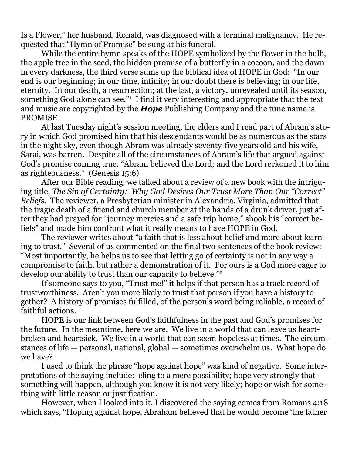Is a Flower," her husband, Ronald, was diagnosed with a terminal malignancy. He requested that "Hymn of Promise" be sung at his funeral.

 While the entire hymn speaks of the HOPE symbolized by the flower in the bulb, the apple tree in the seed, the hidden promise of a butterfly in a cocoon, and the dawn in every darkness, the third verse sums up the biblical idea of HOPE in God: "In our end is our beginning; in our time, infinity; in our doubt there is believing; in our life, eternity. In our death, a resurrection; at the last, a victory, unrevealed until its season, something God alone can see."<sup>1</sup> I find it very interesting and appropriate that the text and music are copyrighted by the *Hope* Publishing Company and the tune name is PROMISE.

 At last Tuesday night's session meeting, the elders and I read part of Abram's story in which God promised him that his descendants would be as numerous as the stars in the night sky, even though Abram was already seventy-five years old and his wife, Sarai, was barren. Despite all of the circumstances of Abram's life that argued against God's promise coming true. "Abram believed the Lord; and the Lord reckoned it to him as righteousness." (Genesis 15:6)

 After our Bible reading, we talked about a review of a new book with the intriguing title, *The Sin of Certainty: Why God Desires Our Trust More Than Our "Correct" Beliefs*. The reviewer, a Presbyterian minister in Alexandria, Virginia, admitted that the tragic death of a friend and church member at the hands of a drunk driver, just after they had prayed for "journey mercies and a safe trip home," shook his "correct beliefs" and made him confront what it really means to have HOPE in God.

 The reviewer writes about "a faith that is less about belief and more about learning to trust." Several of us commented on the final two sentences of the book review: "Most importantly, he helps us to see that letting go of certainty is not in any way a compromise to faith, but rather a demonstration of it. For ours is a God more eager to develop our ability to trust than our capacity to believe."2

 If someone says to you, "Trust me!" it helps if that person has a track record of trustworthiness. Aren't you more likely to trust that person if you have a history together? A history of promises fulfilled, of the person's word being reliable, a record of faithful actions.

 HOPE is our link between God's faithfulness in the past and God's promises for the future. In the meantime, here we are. We live in a world that can leave us heartbroken and heartsick. We live in a world that can seem hopeless at times. The circumstances of life — personal, national, global — sometimes overwhelm us. What hope do we have?

 I used to think the phrase "hope against hope" was kind of negative. Some interpretations of the saying include: cling to a mere possibility; hope very strongly that something will happen, although you know it is not very likely; hope or wish for something with little reason or justification.

 However, when I looked into it, I discovered the saying comes from Romans 4:18 which says, "Hoping against hope, Abraham believed that he would become 'the father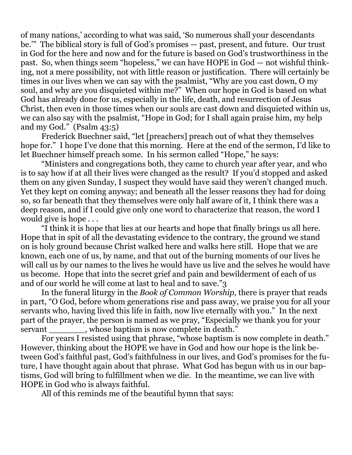of many nations,' according to what was said, 'So numerous shall your descendants be.'" The biblical story is full of God's promises — past, present, and future. Our trust in God for the here and now and for the future is based on God's trustworthiness in the past. So, when things seem "hopeless," we can have HOPE in God — not wishful thinking, not a mere possibility, not with little reason or justification. There will certainly be times in our lives when we can say with the psalmist, "Why are you cast down, O my soul, and why are you disquieted within me?" When our hope in God is based on what God has already done for us, especially in the life, death, and resurrection of Jesus Christ, then even in those times when our souls are cast down and disquieted within us, we can also say with the psalmist, "Hope in God; for I shall again praise him, my help and my God." (Psalm 43:5)

 Frederick Buechner said, "let [preachers] preach out of what they themselves hope for." I hope I've done that this morning. Here at the end of the sermon, I'd like to let Buechner himself preach some. In his sermon called "Hope," he says:

 "Ministers and congregations both, they came to church year after year, and who is to say how if at all their lives were changed as the result? If you'd stopped and asked them on any given Sunday, I suspect they would have said they weren't changed much. Yet they kept on coming anyway; and beneath all the lesser reasons they had for doing so, so far beneath that they themselves were only half aware of it, I think there was a deep reason, and if I could give only one word to characterize that reason, the word I would give is hope . . .

 "I think it is hope that lies at our hearts and hope that finally brings us all here. Hope that in spit of all the devastating evidence to the contrary, the ground we stand on is holy ground because Christ walked here and walks here still. Hope that we are known, each one of us, by name, and that out of the burning moments of our lives he will call us by our names to the lives he would have us live and the selves he would have us become. Hope that into the secret grief and pain and bewilderment of each of us and of our world he will come at last to heal and to save."3

 In the funeral liturgy in the *Book of Common Worship*, there is prayer that reads in part, "O God, before whom generations rise and pass away, we praise you for all your servants who, having lived this life in faith, now live eternally with you." In the next part of the prayer, the person is named as we pray, "Especially we thank you for your servant whose baptism is now complete in death."

 For years I resisted using that phrase, "whose baptism is now complete in death." However, thinking about the HOPE we have in God and how our hope is the link between God's faithful past, God's faithfulness in our lives, and God's promises for the future, I have thought again about that phrase. What God has begun with us in our baptisms, God will bring to fulfillment when we die. In the meantime, we can live with HOPE in God who is always faithful.

All of this reminds me of the beautiful hymn that says: